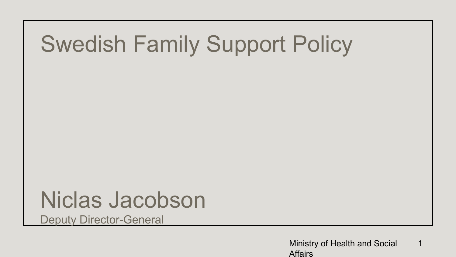## Swedish Family Support Policy

### Niclas Jacobson

Deputy Director-General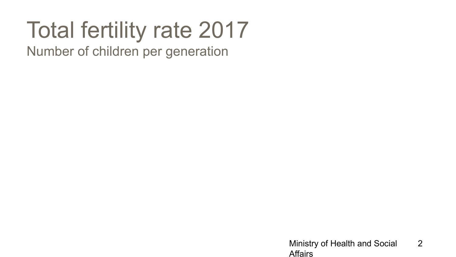## Total fertility rate 2017

Number of children per generation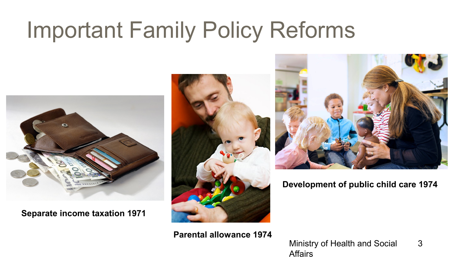# Important Family Policy Reforms



**Separate income taxation 1971** 



**Parental allowance 1974** 



**Development of public child care 1974**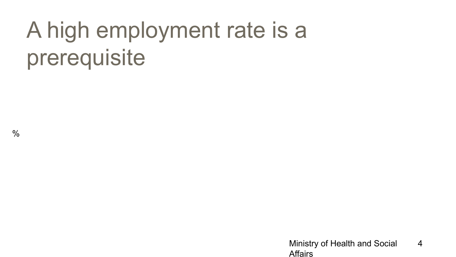# A high employment rate is a prerequisite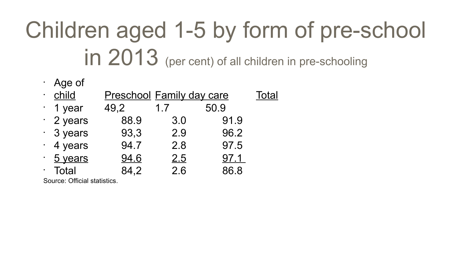# Children aged 1-5 by form of pre-school in 2013 (per cent) of all children in pre-schooling

• Age of

| <u>child</u>    | <b>Preschool Family day care</b> | <b>Total</b> |      |  |
|-----------------|----------------------------------|--------------|------|--|
| 1 year          | 49,2                             | 1.7          | 50.9 |  |
| $\cdot$ 2 years | 88.9                             | 3.0          | 91.9 |  |
| $\cdot$ 3 years | 93,3                             | 2.9          | 96.2 |  |
| 4 years         | 94.7                             | 2.8          | 97.5 |  |
| 5 years         | 94.6                             | 2.5          | 97.1 |  |
| <b>Total</b>    | 84.2                             | 2.6          | 86.8 |  |

Source: Official statistics.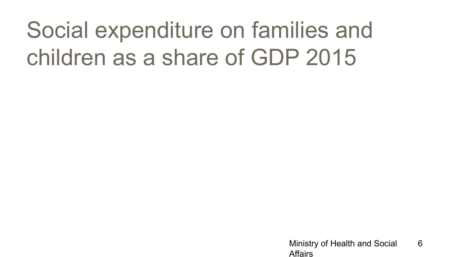# Social expenditure on families and children as a share of GDP 2015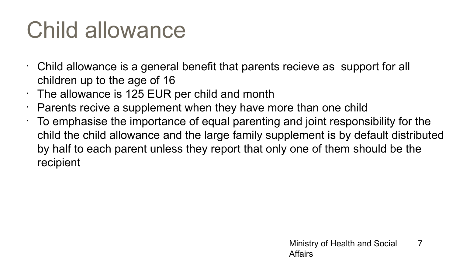## Child allowance

- Child allowance is a general benefit that parents recieve as support for all children up to the age of 16
- $\cdot$  The allowance is 125 EUR per child and month
- $\cdot$  Parents recive a supplement when they have more than one child
- $\cdot$  To emphasise the importance of equal parenting and joint responsibility for the child the child allowance and the large family supplement is by default distributed by half to each parent unless they report that only one of them should be the recipient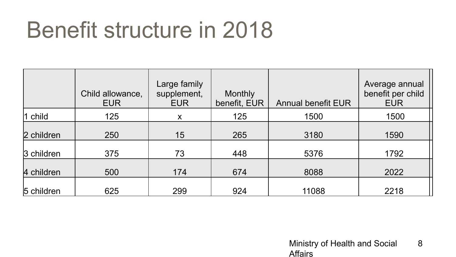## Benefit structure in 2018

|                 | Child allowance,<br><b>EUR</b> | Large family<br>supplement,<br><b>EUR</b> | <b>Monthly</b><br>benefit, EUR | <b>Annual benefit EUR</b> | Average annual<br>benefit per child<br><b>EUR</b> |
|-----------------|--------------------------------|-------------------------------------------|--------------------------------|---------------------------|---------------------------------------------------|
| $\vert$ 1 child | 125                            | X                                         | 125                            | 1500                      | 1500                                              |
| 2 children      | 250                            | 15                                        | 265                            | 3180                      | 1590                                              |
| 3 children      | 375                            | 73                                        | 448                            | 5376                      | 1792                                              |
| 4 children      | 500                            | 174                                       | 674                            | 8088                      | 2022                                              |
| 5 children      | 625                            | 299                                       | 924                            | 11088                     | 2218                                              |